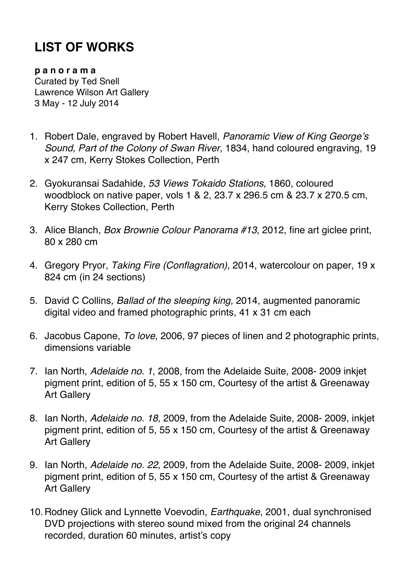## **LIST OF WORKS**

**p a n o r a m a** Curated by Ted Snell Lawrence Wilson Art Gallery 3 May - 12 July 2014

- 1. Robert Dale, engraved by Robert Havell, *Panoramic View of King George's Sound, Part of the Colony of Swan River*, 1834, hand coloured engraving, 19 x 247 cm, Kerry Stokes Collection, Perth
- 2. Gyokuransai Sadahide, *53 Views Tokaido Stations*, 1860, coloured woodblock on native paper, vols 1 & 2, 23.7 x 296.5 cm & 23.7 x 270.5 cm, Kerry Stokes Collection, Perth
- 3. Alice Blanch*, Box Brownie Colour Panorama #13*, 2012, fine art giclee print, 80 x 280 cm
- 4. Gregory Pryor, *Taking Fire (Conflagration),* 2014, watercolour on paper, 19 x 824 cm (in 24 sections)
- 5. David C Collins*, Ballad of the sleeping king,* 2014, augmented panoramic digital video and framed photographic prints, 41 x 31 cm each
- 6. Jacobus Capone, *To love*, 2006, 97 pieces of linen and 2 photographic prints, dimensions variable
- 7. Ian North, *Adelaide no. 1*, 2008, from the Adelaide Suite, 2008- 2009 inkjet pigment print, edition of 5, 55 x 150 cm, Courtesy of the artist & Greenaway Art Gallery
- 8. Ian North, *Adelaide no. 18,* 2009, from the Adelaide Suite, 2008- 2009, inkjet pigment print, edition of 5, 55 x 150 cm, Courtesy of the artist & Greenaway Art Gallery
- 9. Ian North*, Adelaide no. 22*, 2009, from the Adelaide Suite, 2008- 2009, inkjet pigment print, edition of 5, 55 x 150 cm, Courtesy of the artist & Greenaway Art Gallery
- 10.Rodney Glick and Lynnette Voevodin, *Earthquake*, 2001, dual synchronised DVD projections with stereo sound mixed from the original 24 channels recorded, duration 60 minutes, artist's copy